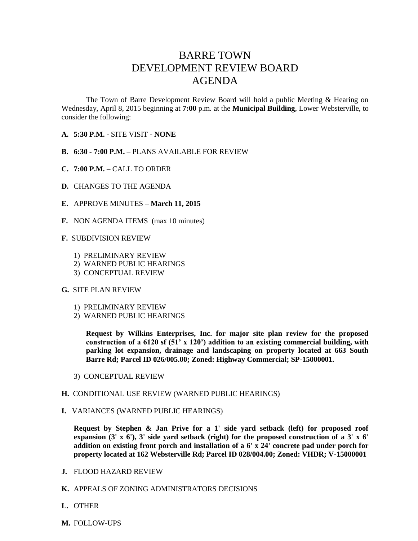## BARRE TOWN DEVELOPMENT REVIEW BOARD AGENDA

The Town of Barre Development Review Board will hold a public Meeting & Hearing on Wednesday, April 8, 2015 beginning at **7:00** p.m. at the **Municipal Building**, Lower Websterville, to consider the following:

- **A. 5:30 P.M.** SITE VISIT **NONE**
- **B. 6:30 - 7:00 P.M.** PLANS AVAILABLE FOR REVIEW
- **C. 7:00 P.M. –** CALL TO ORDER
- **D.** CHANGES TO THE AGENDA
- **E.** APPROVE MINUTES **March 11, 2015**
- **F.** NON AGENDA ITEMS (max 10 minutes)
- **F.** SUBDIVISION REVIEW
	- 1) PRELIMINARY REVIEW
	- 2) WARNED PUBLIC HEARINGS
	- 3) CONCEPTUAL REVIEW

## **G.** SITE PLAN REVIEW

- 1) PRELIMINARY REVIEW
- 2) WARNED PUBLIC HEARINGS

**Request by Wilkins Enterprises, Inc. for major site plan review for the proposed construction of a 6120 sf (51' x 120') addition to an existing commercial building, with parking lot expansion, drainage and landscaping on property located at 663 South Barre Rd; Parcel ID 026/005.00; Zoned: Highway Commercial; SP-15000001.**

- 3) CONCEPTUAL REVIEW
- **H.** CONDITIONAL USE REVIEW (WARNED PUBLIC HEARINGS)
- **I.** VARIANCES (WARNED PUBLIC HEARINGS)

**Request by Stephen & Jan Prive for a 1' side yard setback (left) for proposed roof**  expansion  $(3' \times 6')$ , 3' side yard setback (right) for the proposed construction of a 3' x 6' **addition on existing front porch and installation of a 6' x 24' concrete pad under porch for property located at 162 Websterville Rd; Parcel ID 028/004.00; Zoned: VHDR; V-15000001**

- **J.** FLOOD HAZARD REVIEW
- **K.** APPEALS OF ZONING ADMINISTRATORS DECISIONS
- **L.** OTHER
- **M.** FOLLOW-UPS